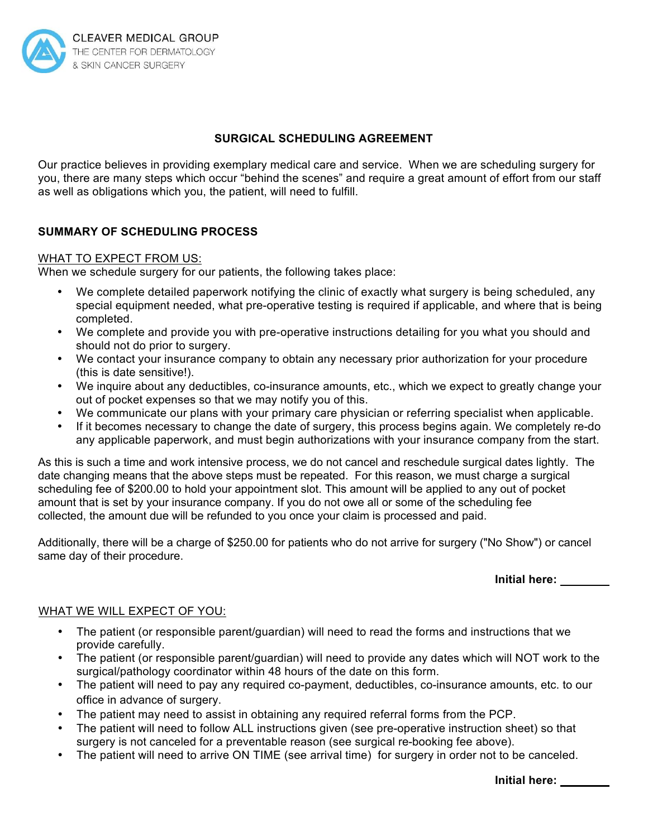

# **SURGICAL SCHEDULING AGREEMENT**

Our practice believes in providing exemplary medical care and service. When we are scheduling surgery for you, there are many steps which occur "behind the scenes" and require a great amount of effort from our staff as well as obligations which you, the patient, will need to fulfill.

# **SUMMARY OF SCHEDULING PROCESS**

### WHAT TO EXPECT FROM US:

When we schedule surgery for our patients, the following takes place:

- We complete detailed paperwork notifying the clinic of exactly what surgery is being scheduled, any special equipment needed, what pre-operative testing is required if applicable, and where that is being completed.
- We complete and provide you with pre-operative instructions detailing for you what you should and should not do prior to surgery.
- We contact your insurance company to obtain any necessary prior authorization for your procedure (this is date sensitive!).
- We inquire about any deductibles, co-insurance amounts, etc., which we expect to greatly change your out of pocket expenses so that we may notify you of this.
- We communicate our plans with your primary care physician or referring specialist when applicable.
- If it becomes necessary to change the date of surgery, this process begins again. We completely re-do any applicable paperwork, and must begin authorizations with your insurance company from the start.

As this is such a time and work intensive process, we do not cancel and reschedule surgical dates lightly. The date changing means that the above steps must be repeated. For this reason, we must charge a surgical scheduling fee of \$200.00 to hold your appointment slot. This amount will be applied to any out of pocket amount that is set by your insurance company. If you do not owe all or some of the scheduling fee collected, the amount due will be refunded to you once your claim is processed and paid.

Additionally, there will be a charge of \$250.00 for patients who do not arrive for surgery ("No Show") or cancel same day of their procedure.

**Initial here:** 

#### WHAT WE WILL EXPECT OF YOU:

- The patient (or responsible parent/guardian) will need to read the forms and instructions that we provide carefully.
- The patient (or responsible parent/guardian) will need to provide any dates which will NOT work to the surgical/pathology coordinator within 48 hours of the date on this form.
- The patient will need to pay any required co-payment, deductibles, co-insurance amounts, etc. to our office in advance of surgery.
- The patient may need to assist in obtaining any required referral forms from the PCP.
- The patient will need to follow ALL instructions given (see pre-operative instruction sheet) so that surgery is not canceled for a preventable reason (see surgical re-booking fee above).
- The patient will need to arrive ON TIME (see arrival time) for surgery in order not to be canceled.

**Initial here:**